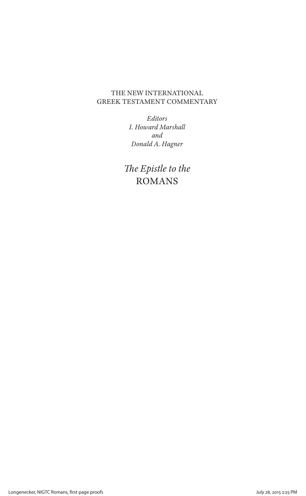# THE NEW INTERNATIONAL GREEK TESTAMENT COMMENTARY

*Editors I. Howard Marshall and Donald A. Hagner*

*The Epistle to the* ROMANS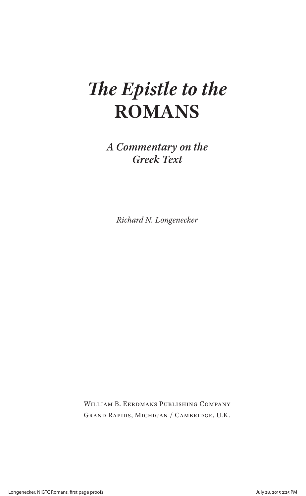# *The Epistle to the* **ROMANS**

*A Commentary on the Greek Text*

*Richard N. Longenecker*

William B. Eerdmans Publishing Company Grand Rapids, Michigan / Cambridge, U.K.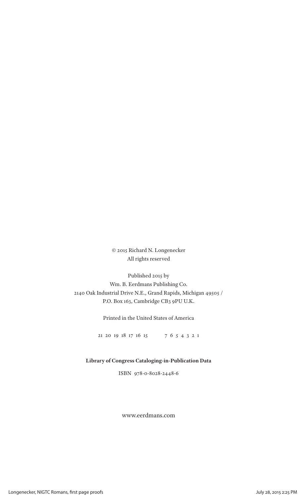© 2015 Richard N. Longenecker All rights reserved

Published 2015 by Wm. B. Eerdmans Publishing Co. 2140 Oak Industrial Drive N.E., Grand Rapids, Michigan 49505 / P.O. Box 163, Cambridge CB3 9PU U.K.

Printed in the United States of America

21 20 19 18 17 16 15 7 6 5 4 3 2 1

**Library of Congress Cataloging-in-Publication Data**

ISBN 978-0-8028-2448-6

www.eerdmans.com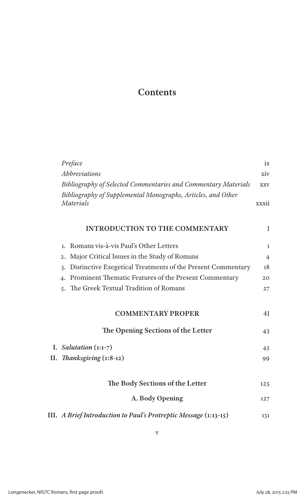# **Contents**

| Preface                                                                          | ix             |
|----------------------------------------------------------------------------------|----------------|
| <i>Abbreviations</i>                                                             | xiv            |
| Bibliography of Selected Commentaries and Commentary Materials                   | <b>XXV</b>     |
| Bibliography of Supplemental Monographs, Articles, and Other<br><b>Materials</b> | xxxii          |
| <b>INTRODUCTION TO THE COMMENTARY</b>                                            | $\mathbf{1}$   |
| Romans vis-à-vis Paul's Other Letters<br>1.                                      | $\mathbf{1}$   |
| Major Critical Issues in the Study of Romans<br>$\overline{2}$ .                 | $\overline{4}$ |
| Distinctive Exegetical Treatments of the Present Commentary<br>$\overline{3}$ .  | 18             |
| 4. Prominent Thematic Features of the Present Commentary                         | 20             |
| 5. The Greek Textual Tradition of Romans                                         | 27             |
| <b>COMMENTARY PROPER</b>                                                         | 41             |
| The Opening Sections of the Letter                                               | 43             |
| I. Salutation $(1:1-7)$                                                          | 45             |
| II. Thanksgiving (1:8-12)                                                        | 99             |
| The Body Sections of the Letter                                                  | 125            |
| A. Body Opening                                                                  | 127            |
| III. A Brief Introduction to Paul's Protreptic Message (1:13-15)                 | 131            |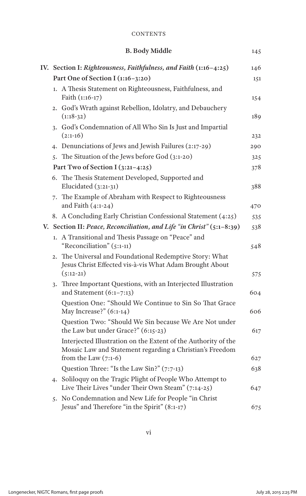## **CONTENTS**

|  | <b>B. Body Middle</b>                                                                                                              | 145 |
|--|------------------------------------------------------------------------------------------------------------------------------------|-----|
|  | IV. Section I: Righteousness, Faithfulness, and Faith (1:16-4:25)                                                                  | 146 |
|  | Part One of Section I (1:16-3:20)                                                                                                  | 151 |
|  | 1. A Thesis Statement on Righteousness, Faithfulness, and<br>Faith (1:16-17)                                                       | 154 |
|  | 2. God's Wrath against Rebellion, Idolatry, and Debauchery<br>$(1:18-32)$                                                          | 189 |
|  | 3. God's Condemnation of All Who Sin Is Just and Impartial<br>$(2:1-16)$                                                           | 232 |
|  | 4. Denunciations of Jews and Jewish Failures (2:17-29)                                                                             | 290 |
|  | 5. The Situation of the Jews before God (3:1-20)                                                                                   | 325 |
|  | Part Two of Section I (3:21-4:25)                                                                                                  | 378 |
|  | 6. The Thesis Statement Developed, Supported and<br>Elucidated $(3:21-31)$                                                         | 388 |
|  | 7. The Example of Abraham with Respect to Righteousness<br>and Faith $(4:1-24)$                                                    | 470 |
|  | 8. A Concluding Early Christian Confessional Statement (4:25)                                                                      | 535 |
|  | V. Section II: Peace, Reconciliation, and Life "in Christ" (5:1-8:39)                                                              | 538 |
|  | 1. A Transitional and Thesis Passage on "Peace" and<br>"Reconciliation" (5:1-11)                                                   | 548 |
|  | 2. The Universal and Foundational Redemptive Story: What<br>Jesus Christ Effected vis-à-vis What Adam Brought About<br>$(5:12-21)$ | 575 |
|  | 3. Three Important Questions, with an Interjected Illustration<br>and Statement $(6:1-7:13)$                                       | 604 |
|  | Question One: "Should We Continue to Sin So That Grace<br>May Increase?" (6:1-14)                                                  | 606 |
|  | Question Two: "Should We Sin because We Are Not under<br>the Law but under Grace?" (6:15-23)                                       | 617 |
|  | Interjected Illustration on the Extent of the Authority of the<br>Mosaic Law and Statement regarding a Christian's Freedom         |     |
|  | from the Law $(7:1-6)$                                                                                                             | 627 |
|  | Question Three: "Is the Law Sin?" (7:7-13)                                                                                         | 638 |
|  | 4. Soliloquy on the Tragic Plight of People Who Attempt to<br>Live Their Lives "under Their Own Steam" (7:14-25)                   | 647 |
|  | 5. No Condemnation and New Life for People "in Christ<br>Jesus" and Therefore "in the Spirit" (8:1-17)                             | 675 |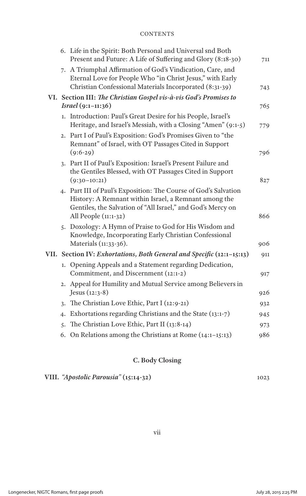## **CONTENTS**

|    | 6. Life in the Spirit: Both Personal and Universal snd Both<br>Present and Future: A Life of Suffering and Glory (8:18-30)                                                                                      | 711 |
|----|-----------------------------------------------------------------------------------------------------------------------------------------------------------------------------------------------------------------|-----|
|    | 7. A Triumphal Affirmation of God's Vindication, Care, and<br>Eternal Love for People Who "in Christ Jesus," with Early<br>Christian Confessional Materials Incorporated (8:31-39)                              | 743 |
|    | VI. Section III: The Christian Gospel vis-à-vis God's Promises to                                                                                                                                               |     |
|    | $Israel(9:1-11:36)$                                                                                                                                                                                             | 765 |
|    | 1. Introduction: Paul's Great Desire for his People, Israel's<br>Heritage, and Israel's Messiah, with a Closing "Amen" (9:1-5)                                                                                  | 779 |
|    | 2. Part I of Paul's Exposition: God's Promises Given to "the<br>Remnant" of Israel, with OT Passages Cited in Support                                                                                           |     |
|    | $(9:6-29)$                                                                                                                                                                                                      | 796 |
|    | 3. Part II of Paul's Exposition: Israel's Present Failure and<br>the Gentiles Blessed, with OT Passages Cited in Support                                                                                        |     |
|    | $(9:30-10:21)$                                                                                                                                                                                                  | 827 |
|    | 4. Part III of Paul's Exposition: The Course of God's Salvation<br>History: A Remnant within Israel, a Remnant among the<br>Gentiles, the Salvation of "All Israel," and God's Mercy on<br>All People (11:1-32) | 866 |
|    | 5. Doxology: A Hymn of Praise to God for His Wisdom and<br>Knowledge, Incorporating Early Christian Confessional<br>Materials (11:33-36).                                                                       | 906 |
|    | VII. Section IV: Exhortations, Both General and Specific (12:1-15:13)                                                                                                                                           | 911 |
|    | 1. Opening Appeals and a Statement regarding Dedication,<br>Commitment, and Discernment (12:1-2)                                                                                                                | 917 |
|    | 2. Appeal for Humility and Mutual Service among Believers in<br>Jesus (12:3-8)                                                                                                                                  | 926 |
|    | 3. The Christian Love Ethic, Part I (12:9-21)                                                                                                                                                                   | 932 |
| 4. | Exhortations regarding Christians and the State (13:1-7)                                                                                                                                                        | 945 |
| 5. | The Christian Love Ethic, Part II (13:8-14)                                                                                                                                                                     | 973 |
|    | 6. On Relations among the Christians at Rome (14:1-15:13)                                                                                                                                                       | 986 |
|    |                                                                                                                                                                                                                 |     |

# **C. Body Closing**

|  | VIII. "Apostolic Parousia" (15:14-32) |  | 1023 |
|--|---------------------------------------|--|------|
|--|---------------------------------------|--|------|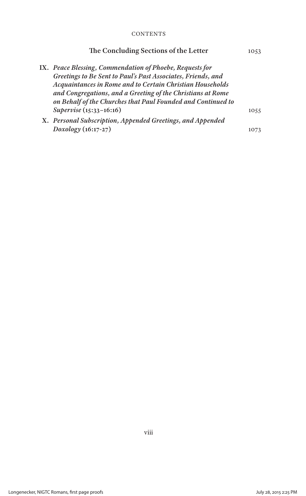### **CONTENTS**

| The Concluding Sections of the Letter                                                                                                                                                                                                                                                                                | 1053 |
|----------------------------------------------------------------------------------------------------------------------------------------------------------------------------------------------------------------------------------------------------------------------------------------------------------------------|------|
| IX. Peace Blessing, Commendation of Phoebe, Requests for<br>Greetings to Be Sent to Paul's Past Associates, Friends, and<br>Acquaintances in Rome and to Certain Christian Households<br>and Congregations, and a Greeting of the Christians at Rome<br>on Behalf of the Churches that Paul Founded and Continued to |      |
| Supervise (15:33-16:16)                                                                                                                                                                                                                                                                                              | 1055 |
| X. Personal Subscription, Appended Greetings, and Appended                                                                                                                                                                                                                                                           |      |
| $Doxology(16:17-27)$                                                                                                                                                                                                                                                                                                 | 1073 |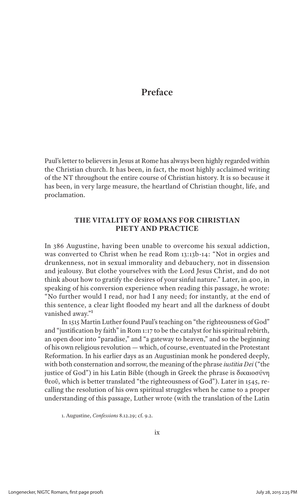# **Preface**

Paul's letter to believers in Jesus at Rome has always been highly regarded within the Christian church. It has been, in fact, the most highly acclaimed writing of the NT throughout the entire course of Christian history. It is so because it has been, in very large measure, the heartland of Christian thought, life, and proclamation.

# **THE VITALITY OF ROMANS FOR CHRISTIAN PIETY AND PRACTICE**

In 386 Augustine, having been unable to overcome his sexual addiction, was converted to Christ when he read Rom 13:13b-14: "Not in orgies and drunkenness, not in sexual immorality and debauchery, not in dissension and jealousy. But clothe yourselves with the Lord Jesus Christ, and do not think about how to gratify the desires of your sinful nature." Later, in 400, in speaking of his conversion experience when reading this passage, he wrote: "No further would I read, nor had I any need; for instantly, at the end of this sentence, a clear light flooded my heart and all the darkness of doubt vanished away."1

In 1515 Martin Luther found Paul's teaching on "the righteousness of God" and "justification by faith" in Rom 1:17 to be the catalyst for his spiritual rebirth, an open door into "paradise," and "a gateway to heaven," and so the beginning of his own religious revolution — which, of course, eventuated in the Protestant Reformation. In his earlier days as an Augustinian monk he pondered deeply, with both consternation and sorrow, the meaning of the phrase *iustitia Dei* ("the justice of God") in his Latin Bible (though in Greek the phrase is δικαιοσύνη θεοῦ, which is better translated "the righteousness of God"). Later in 1545, recalling the resolution of his own spiritual struggles when he came to a proper understanding of this passage, Luther wrote (with the translation of the Latin

1. Augustine, *Confessions* 8.12.29; cf. 9.2.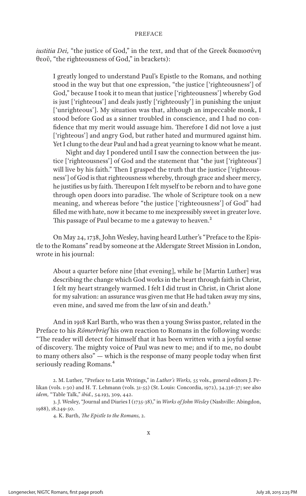#### **PREFACE**

*iustitia Dei,* "the justice of God," in the text, and that of the Greek δικαιοσύνη θεοῦ, "the righteousness of God," in brackets):

I greatly longed to understand Paul's Epistle to the Romans, and nothing stood in the way but that one expression, "the justice ['righteousness'] of God," because I took it to mean that justice ['righteousness'] whereby God is just ['righteous'] and deals justly ['righteously'] in punishing the unjust ['unrighteous']. My situation was that, although an impeccable monk, I stood before God as a sinner troubled in conscience, and I had no confidence that my merit would assuage him. Therefore I did not love a just ['righteous'] and angry God, but rather hated and murmured against him. Yet I clung to the dear Paul and had a great yearning to know what he meant.

Night and day I pondered until I saw the connection between the justice ['righteousness'] of God and the statement that "the just ['righteous'] will live by his faith." Then I grasped the truth that the justice ['righteousness'] of God is that righteousness whereby, through grace and sheer mercy, he justifies us by faith. Thereupon I felt myself to be reborn and to have gone through open doors into paradise. The whole of Scripture took on a new meaning, and whereas before "the justice ['righteousness'] of God" had filled me with hate, now it became to me inexpressibly sweet in greater love. This passage of Paul became to me a gateway to heaven.<sup>2</sup>

On May 24, 1738, John Wesley, having heard Luther's "Preface to the Epistle to the Romans" read by someone at the Aldersgate Street Mission in London, wrote in his journal:

About a quarter before nine [that evening], while he [Martin Luther] was describing the change which God works in the heart through faith in Christ, I felt my heart strangely warmed. I felt I did trust in Christ, in Christ alone for my salvation: an assurance was given me that He had taken away my sins, even mine, and saved me from the law of sin and death.<sup>3</sup>

And in 1918 Karl Barth, who was then a young Swiss pastor, related in the Preface to his *Römerbrief* his own reaction to Romans in the following words: "The reader will detect for himself that it has been written with a joyful sense of discovery. The mighty voice of Paul was new to me; and if to me, no doubt to many others also" — which is the response of many people today when first seriously reading Romans.<sup>4</sup>

4. K. Barth, *The Epistle to the Romans,* 2.

<sup>2.</sup> M. Luther, "Preface to Latin Writings," in *Luther's Works,* 55 vols., general editors J. Pelikan (vols. 1-30) and H. T. Lehmann (vols. 31-55) (St. Louis: Concordia, 1972), 34.336-37; see also *idem,* "Table Talk," *ibid.,* 54.193, 309, 442.

<sup>3.</sup> J. Wesley, "Journal and Diaries I (1735-38)," in *Works of John Wesley* (Nashville: Abingdon, 1988), 18.249-50.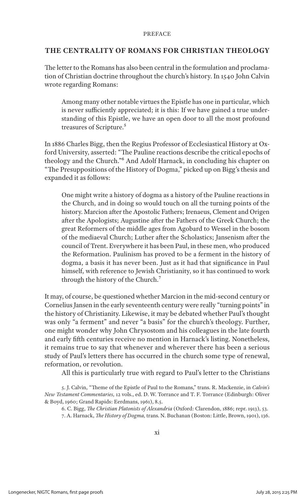#### **PREFACE**

## **THE CENTRALITY OF ROMANS FOR CHRISTIAN THEOLOGY**

The letter to the Romans has also been central in the formulation and proclamation of Christian doctrine throughout the church's history. In 1540 John Calvin wrote regarding Romans:

Among many other notable virtues the Epistle has one in particular, which is never sufficiently appreciated; it is this: If we have gained a true understanding of this Epistle, we have an open door to all the most profound treasures of Scripture.5

In 1886 Charles Bigg, then the Regius Professor of Ecclesiastical History at Oxford University, asserted: "The Pauline reactions describe the critical epochs of theology and the Church."6 And Adolf Harnack, in concluding his chapter on "The Presuppositions of the History of Dogma," picked up on Bigg's thesis and expanded it as follows:

One might write a history of dogma as a history of the Pauline reactions in the Church, and in doing so would touch on all the turning points of the history. Marcion after the Apostolic Fathers; Irenaeus, Clement and Origen after the Apologists; Augustine after the Fathers of the Greek Church; the great Reformers of the middle ages from Agobard to Wessel in the bosom of the mediaeval Church; Luther after the Scholastics; Jansenism after the council of Trent. Everywhere it has been Paul, in these men, who produced the Reformation. Paulinism has proved to be a ferment in the history of dogma, a basis it has never been. Just as it had that significance in Paul himself, with reference to Jewish Christianity, so it has continued to work through the history of the Church.7

It may, of course, be questioned whether Marcion in the mid-second century or Cornelius Jansen in the early seventeenth century were really "turning points" in the history of Christianity. Likewise, it may be debated whether Paul's thought was only "a ferment" and never "a basis" for the church's theology. Further, one might wonder why John Chrysostom and his colleagues in the late fourth and early fifth centuries receive no mention in Harnack's listing. Nonetheless, it remains true to say that whenever and wherever there has been a serious study of Paul's letters there has occurred in the church some type of renewal, reformation, or revolution.

All this is particularly true with regard to Paul's letter to the Christians

5. J. Calvin, "Theme of the Epistle of Paul to the Romans," trans. R. Mackenzie, in *Calvin's New Testament Commentaries,* 12 vols., ed. D. W. Torrance and T. F. Torrance (Edinburgh: Oliver & Boyd, 1960; Grand Rapids: Eerdmans, 1961), 8.5.

6. C. Bigg, *The Christian Platonists of Alexandria* (Oxford: Clarendon, 1886; repr. 1913), 53. 7. A. Harnack, *The History of Dogma,* trans. N. Buchanan (Boston: Little, Brown, 1901), 136.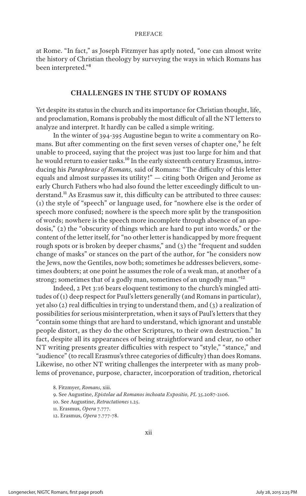at Rome. "In fact," as Joseph Fitzmyer has aptly noted, "one can almost write the history of Christian theology by surveying the ways in which Romans has been interpreted."8

#### **CHALLENGES IN THE STUDY OF ROMANS**

Yet despite its status in the church and its importance for Christian thought, life, and proclamation, Romans is probably the most difficult of all the NT letters to analyze and interpret. It hardly can be called a simple writing.

In the winter of 394-395 Augustine began to write a commentary on Romans. But after commenting on the first seven verses of chapter one,<sup>9</sup> he felt unable to proceed, saying that the project was just too large for him and that he would return to easier tasks.<sup>10</sup> In the early sixteenth century Erasmus, introducing his *Paraphrase of Romans,* said of Romans: "The difficulty of this letter equals and almost surpasses its utility!" — citing both Origen and Jerome as early Church Fathers who had also found the letter exceedingly difficult to understand.<sup>11</sup> As Erasmus saw it, this difficulty can be attributed to three causes: (1) the style of "speech" or language used, for "nowhere else is the order of speech more confused; nowhere is the speech more split by the transposition of words; nowhere is the speech more incomplete through absence of an apodosis," (2) the "obscurity of things which are hard to put into words," or the content of the letter itself, for "no other letter is handicapped by more frequent rough spots or is broken by deeper chasms," and (3) the "frequent and sudden change of masks" or stances on the part of the author, for "he considers now the Jews, now the Gentiles, now both; sometimes he addresses believers, sometimes doubters; at one point he assumes the role of a weak man, at another of a strong; sometimes that of a godly man, sometimes of an ungodly man."12

Indeed, 2 Pet 3:16 bears eloquent testimony to the church's mingled attitudes of (1) deep respect for Paul's letters generally (and Romans in particular), yet also (2) real difficulties in trying to understand them, and (3) a realization of possibilities for serious misinterpretation, when it says of Paul's letters that they "contain some things that are hard to understand, which ignorant and unstable people distort, as they do the other Scriptures, to their own destruction." In fact, despite all its appearances of being straightforward and clear, no other NT writing presents greater difficulties with respect to "style," "stance," and "audience" (to recall Erasmus's three categories of difficulty) than does Romans. Likewise, no other NT writing challenges the interpreter with as many problems of provenance, purpose, character, incorporation of tradition, rhetorical

<sup>8.</sup> Fitzmyer, *Romans,* xiii.

<sup>9.</sup> See Augustine, *Epistolae ad Romanos inchoata Expositio, PL* 35.2087-2106.

<sup>10.</sup> See Augustine, *Retractationes* 1.25.

<sup>11.</sup> Erasmus, *Opera* 7.777.

<sup>12.</sup> Erasmus, *Opera* 7.777-78.